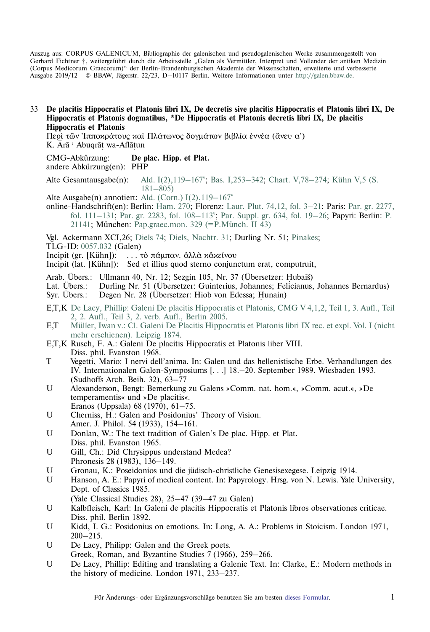Auszug aus: CORPUS GALENICUM, Bibliographie der galenischen und pseudogalenischen Werke zusammengestellt von Gerhard Fichtner †, weitergeführt durch die Arbeitsstelle "Galen als Vermittler, Interpret und Vollender der antiken Medizin (Corpus Medicorum Graecorum)" der Berlin-Brandenburgischen Akademie der Wissenschaften, erweiterte und verbesserte Ausgabe 2019/12 © BBAW, Jägerstr. 22/23, D–10117 Berlin. Weitere Informationen unter [http://galen.bbaw.de](ttp://galen.bbaw.de).

33 **De placitis Hippocratis et Platonis libri IX, De decretis sive placitis Hippocratis et Platonis libri IX, De Hippocratis et Platonis dogmatibus, \*De Hippocratis et Platonis decretis libri IX, De placitis Hippocratis et Platonis**

Περί των Ίπποκράτους και Πλάτωνος δογμάτων βιβλία έννέα (άνευ α') K. Arā<sup>,</sup> Abuqrāt wa-Aflātun ˙

CMG-Abkürzung: CMG-Abkürzung: **De plac. Hipp. et Plat.** andere Abkürzung(en): PHP

Alte Gesamtausgabe(n): Ald. I(2), 119–167°; Bas. I, 253–342; Chart. V, 78–274; Kühn V, 5 (S. [181–805\)](https://archive.org/stream/hapantaoperaomni05galeuoft#page/181/mode/2up)

Alte Ausgabe(n) annotiert: Ald. (Corn.)  $I(2)$ ,  $119-167$ <sup>v</sup>

online-Handschrift(en): Berlin: [Ham. 270](http://beta.teuchos.uni-hamburg.de/resolver?ham270:images); Florenz: [Laur. Plut. 74,12, fol. 3–21;](http://mss.bmlonline.it/s.aspx?Id=AWOMMIy5I1A4r7GxMQ3y&c=Quaedam%20ex%20II%20De%20placitis%20Hippocratis%20et%20Platonis%20Galeni#/oro/13) Paris: [Par. gr. 2277,](http://gallica.bnf.fr/ark:/12148/btv1b10722815k/f124.image) [fol. 111–131;](http://gallica.bnf.fr/ark:/12148/btv1b10722815k/f124.image) Par. gr. 2283, fol. 108–113<sup>v</sup>; [Par. Suppl. gr. 634, fol. 19–26;](http://gallica.bnf.fr/ark:/12148/btv1b52501352s/f33.image) Papyri: Berlin: [P.](http://ww2.smb.museum/berlpap/index.php/00221) [21141;](http://ww2.smb.museum/berlpap/index.php/00221) München: [Pap.graec.mon. 329 \(=P.Münch. II 43\)](http://bildsuche.digitale-sammlungen.de/index.html?c=viewer&bandnummer=bsb00006064&pimage=1&v=100&nav�&l=de)

Vgl. Ackermann XCI,26; [Diels 74;](http://cmg.bbaw.de/epubl/online/diels_02.html?custom=1&pn=74&AnzFrames=1&dw=1625&dh=816) [Diels, Nachtr. 31;](http://cmg.bbaw.de/epubl/online/diels_04.html?custom=1&pn=31&anzframes=1&dw=1452&dh=816) Durling Nr. 51; [Pinakes;](http://pinakes.irht.cnrs.fr/notices/oeuvre/3544/)

TLG-ID: [0057.032](http://stephanus.tlg.uci.edu/Iris/inst/browser.jsp#doc=tlg&aid=0057&wid=032&st=0&l=30) (Galen)

Incipit (gr. [Kühn]): . . . τὸ πάμπαν. ἀλλὰ κἀκείνου

Incipit (lat. [Kühn]): Sed et illius quod sterno conjunctum erat, computruit,

Arab. Übers.: Ullmann 40, Nr. 12; Sezgin 105, Nr. 37 (Übersetzer: Hubaiš)<br>Lat Übers : – Durling Nr. 51 (Übersetzer: Guinterius Johannes: Felicianus

Lat. Übers.: Durling Nr. 51 (Übersetzer: Guinterius, Johannes; Felicianus, Johannes Bernardus)

Syr. Übers.: Degen Nr. 28 (Übersetzer: Hiob von Edessa; Hunain)

- E,T,K [De Lacy, Phillip: Galeni De placitis Hippocratis et Platonis, CMG V 4,1,2, Teil 1, 3. Aufl., Teil](http://cmg.bbaw.de/epubl/online/cmg_05_04_01_02.php?p=61) [2, 2. Aufl., Teil 3, 2. verb. Aufl., Berlin 2005.](http://cmg.bbaw.de/epubl/online/cmg_05_04_01_02.php?p=61)
- E,T [Müller, Iwan v.: Cl. Galeni De Placitis Hippocratis et Platonis libri IX rec. et expl. Vol. I \(nicht](http://opacplus.bsb-muenchen.de/title/BV003782439/ft/bsb11180845?page=145) [mehr erschienen\). Leipzig 1874.](http://opacplus.bsb-muenchen.de/title/BV003782439/ft/bsb11180845?page=145)
- E,T,K Rusch, F. A.: Galeni De placitis Hippocratis et Platonis liber VIII. Diss. phil. Evanston 1968.
- T Vegetti, Mario: I nervi dell'anima. In: Galen und das hellenistische Erbe. Verhandlungen des IV. Internationalen Galen-Symposiums [. . .] 18.–20. September 1989. Wiesbaden 1993. (Sudhoffs Arch. Beih. 32), 63–77
- U Alexanderson, Bengt: Bemerkung zu Galens »Comm. nat. hom.«, »Comm. acut.«, »De temperamentis« und »De placitis«.
- Eranos (Uppsala) 68 (1970), 61–75. U Cherniss, H.: Galen and Posidonius' Theory of Vision.
- Amer. J. Philol. 54 (1933), 154–161.
- U Donlan, W.: The text tradition of Galen's De plac. Hipp. et Plat. Diss. phil. Evanston 1965.
- U Gill, Ch.: Did Chrysippus understand Medea? Phronesis 28 (1983), 136–149.
- U Gronau, K.: Poseidonios und die jüdisch-christliche Genesisexegese. Leipzig 1914.
- U Hanson, A. E.: Papyri of medical content. In: Papyrology. Hrsg. von N. Lewis. Yale University, Dept. of Classics 1985.
- (Yale Classical Studies 28), 25–47 (39–47 zu Galen)
- U Kalbfleisch, Karl: In Galeni de placitis Hippocratis et Platonis libros observationes criticae. Diss. phil. Berlin 1892.
- U Kidd, I. G.: Posidonius on emotions. In: Long, A. A.: Problems in Stoicism. London 1971, 200–215.
- U De Lacy, Philipp: Galen and the Greek poets. Greek, Roman, and Byzantine Studies 7 (1966), 259–266.
- U De Lacy, Phillip: Editing and translating a Galenic Text. In: Clarke, E.: Modern methods in the history of medicine. London 1971, 233–237.